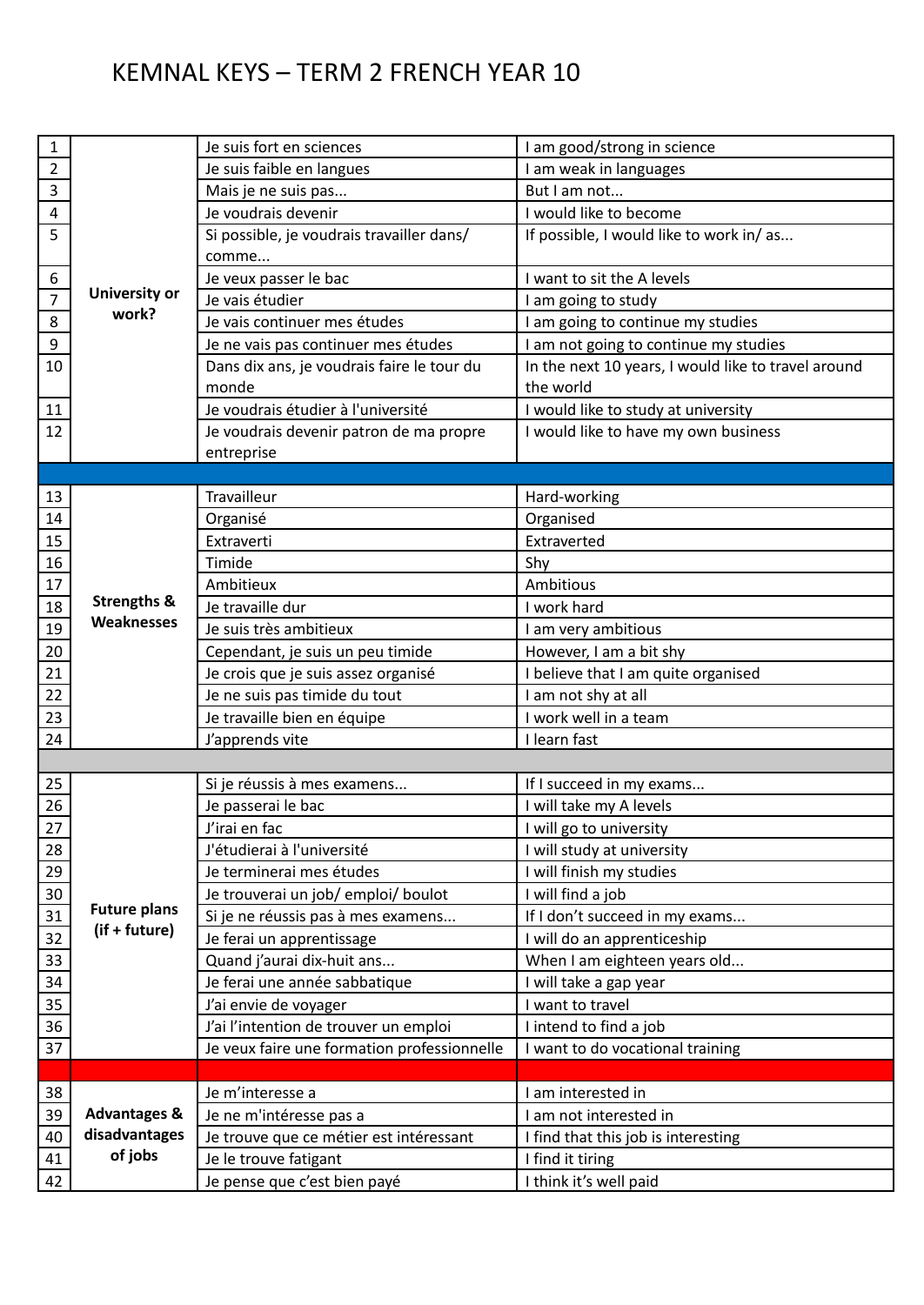## KEMNAL KEYS – TERM 2 FRENCH YEAR 10

| $\mathbf{1}$     |                                          | Je suis fort en sciences                                        | I am good/strong in science                         |
|------------------|------------------------------------------|-----------------------------------------------------------------|-----------------------------------------------------|
| $\overline{2}$   |                                          | Je suis faible en langues                                       | I am weak in languages                              |
| 3                |                                          | Mais je ne suis pas                                             | But I am not                                        |
| $\overline{4}$   |                                          | Je voudrais devenir                                             | I would like to become                              |
| 5                |                                          | Si possible, je voudrais travailler dans/<br>comme              | If possible, I would like to work in/as             |
| 6                |                                          | Je veux passer le bac                                           | I want to sit the A levels                          |
| $\overline{7}$   | University or                            | Je vais étudier                                                 | I am going to study                                 |
| 8                | work?                                    | Je vais continuer mes études                                    | I am going to continue my studies                   |
| $\boldsymbol{9}$ |                                          | Je ne vais pas continuer mes études                             | I am not going to continue my studies               |
| 10               |                                          | Dans dix ans, je voudrais faire le tour du                      | In the next 10 years, I would like to travel around |
|                  |                                          | monde                                                           | the world                                           |
| 11               |                                          | Je voudrais étudier à l'université                              | I would like to study at university                 |
| 12               |                                          | Je voudrais devenir patron de ma propre                         | I would like to have my own business                |
|                  |                                          | entreprise                                                      |                                                     |
|                  |                                          |                                                                 |                                                     |
| 13               |                                          | Travailleur                                                     | Hard-working                                        |
| 14               |                                          | Organisé                                                        | Organised                                           |
| 15               |                                          | Extraverti                                                      | Extraverted                                         |
| 16               |                                          | Timide                                                          | Shy                                                 |
| 17               |                                          | Ambitieux                                                       | Ambitious                                           |
| 18               | <b>Strengths &amp;</b>                   | Je travaille dur                                                | I work hard                                         |
| 19               | Weaknesses                               | Je suis très ambitieux                                          | I am very ambitious                                 |
| 20               |                                          | Cependant, je suis un peu timide                                | However, I am a bit shy                             |
| 21               |                                          | Je crois que je suis assez organisé                             | I believe that I am quite organised                 |
| 22               |                                          | Je ne suis pas timide du tout                                   | I am not shy at all                                 |
| 23               |                                          | Je travaille bien en équipe                                     | I work well in a team                               |
| 24               |                                          | J'apprends vite                                                 | I learn fast                                        |
|                  |                                          |                                                                 |                                                     |
| 25               |                                          | Si je réussis à mes examens                                     | If I succeed in my exams                            |
| 26               |                                          | Je passerai le bac                                              | I will take my A levels                             |
| $27\,$           |                                          | J'irai en fac                                                   | I will go to university                             |
| 28               |                                          | J'étudierai à l'université                                      | I will study at university                          |
| 29               |                                          | Je terminerai mes études                                        | I will finish my studies                            |
| 30               |                                          |                                                                 | I will find a job                                   |
| 31               | <b>Future plans</b>                      | Je trouverai un job/ emploi/ boulot                             | If I don't succeed in my exams                      |
| 32               | (if + future)                            | Si je ne réussis pas à mes examens<br>Je ferai un apprentissage | I will do an apprenticeship                         |
|                  |                                          |                                                                 | When I am eighteen years old                        |
| 33               |                                          | Quand j'aurai dix-huit ans                                      |                                                     |
| 34               |                                          | Je ferai une année sabbatique                                   | I will take a gap year<br>I want to travel          |
| 35               |                                          | J'ai envie de voyager                                           |                                                     |
| 36               |                                          | J'ai l'intention de trouver un emploi                           | I intend to find a job                              |
| 37               |                                          | Je veux faire une formation professionnelle                     | I want to do vocational training                    |
|                  |                                          |                                                                 |                                                     |
| 38               |                                          | Je m'interesse a                                                | I am interested in                                  |
| 39               | <b>Advantages &amp;</b><br>disadvantages | Je ne m'intéresse pas a                                         | I am not interested in                              |
| 40               | of jobs                                  | Je trouve que ce métier est intéressant                         | I find that this job is interesting                 |
| 41               |                                          | Je le trouve fatigant                                           | I find it tiring                                    |
| 42               |                                          | Je pense que c'est bien payé                                    | I think it's well paid                              |